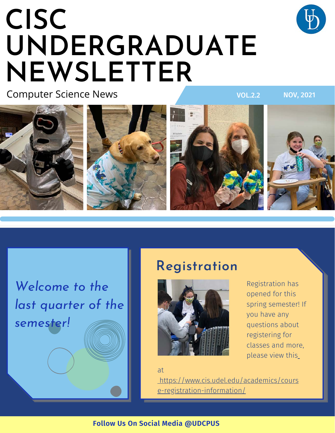## **CISC UNDERGRADUATE NEWSLETTER**

Computer Science News









VOL.2.2 NOV, 2021

*Welcome to the last quarter of the semester!*

## **Registration**



Registration has opened for this spring semester! If you have any questions about registering for classes and more, please view this

at

[https://www.cis.udel.edu/academics/cours](https://www.cis.udel.edu/academics/course-registration-information/) e-registration-information/

### **Follow Us On Social Media @UDCPUS**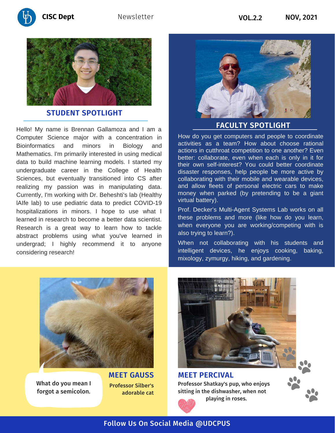



#### **STUDENT SPOTLIGHT**

Hello! My name is Brennan Gallamoza and I am a Computer Science major with a concentration in Bioinformatics and minors in Biology and Mathematics. I'm primarily interested in using medical data to build machine learning models. I started my undergraduate career in the College of Health Sciences, but eventually transitioned into CS after realizing my passion was in manipulating data. Currently, I'm working with Dr. Beheshti's lab (Healthy lAIfe lab) to use pediatric data to predict COVID-19 hospitalizations in minors. I hope to use what I learned in research to become a better data scientist. Research is a great way to learn how to tackle abstract problems using what you've learned in undergrad; I highly recommend it to anyone considering research!



#### **FACULTY SPOTLIGHT**

How do you get computers and people to coordinate activities as a team? How about choose rational actions in cutthroat competition to one another? Even better: collaborate, even when each is only in it for their own self-interest? You could better coordinate disaster responses, help people be more active by collaborating with their mobile and wearable devices, and allow fleets of personal electric cars to make money when parked (by pretending to be a giant virtual battery).

Prof. Decker's Multi-Agent Systems Lab works on all these problems and more (like how do you learn, when everyone you are working/competing with is also trying to learn?).

When not collaborating with his students and intelligent devices, he enjoys cooking, baking, mixology, zymurgy, hiking, and gardening.



What do you mean I forgot a semicolon. Professor Silber's adorable cat



Professor Shatkay's pup, who enjoys sitting in the dishwasher, when not **MEET PERCIVAL**



playing in roses.

### Follow Us On Social Media @UDCPUS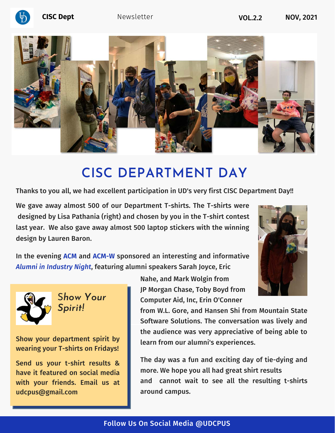



## **CISC DEPARTMENT DAY**

Thanks to you all, we had excellent participation in UD's very first CISC Department Day!!

We gave away almost 500 of our Department T-shirts. The T-shirts were designed by Lisa Pathania (right) and chosen by you in the T-shirt contest last year. We also gave away almost 500 laptop stickers with the winning design by Lauren Baron.



In the evening **ACM** and **ACM-W** sponsored an interesting and informative *Alumni in Industry Night*, featuring alumni speakers Sarah Joyce, Eric



S*how Your Spirit!*

Show your department spirit by wearing your T-shirts on Fridays!

Send us your t-shirt results & have it featured on social media with your friends. Email us at udcpus@gmail.com

Nahe, and Mark Wolgin from JP Morgan Chase, Toby Boyd from Computer Aid, Inc, Erin O'Conner

from W.L. Gore, and Hansen Shi from Mountain State Software Solutions. The conversation was lively and the audience was very appreciative of being able to learn from our alumni's experiences.

The day was a fun and exciting day of tie-dying and more. We hope you all had great shirt results and cannot wait to see all the resulting t-shirts around campus.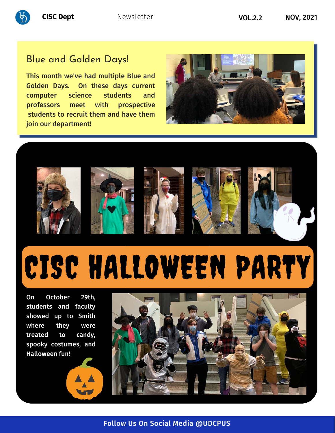

## Blue and Golden Days!

This month we've had multiple Blue and Golden Days. On these days current computer science students and professors meet with prospective students to recruit them and have them join our department!













# CISC HALLOWEEN PARTY

On October 29th, students and faculty showed up to Smith where they were treated to candy, spooky costumes, and Halloween fun!